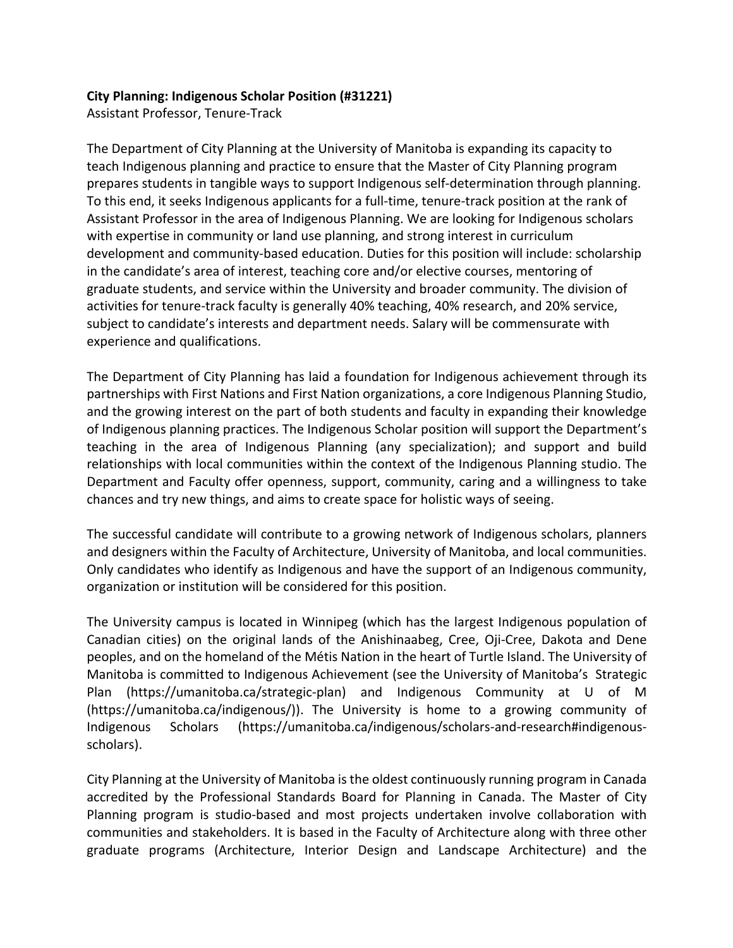## **City Planning: Indigenous Scholar Position (#31221)**

Assistant Professor, Tenure-Track

The Department of City Planning at the University of Manitoba is expanding its capacity to teach Indigenous planning and practice to ensure that the Master of City Planning program prepares students in tangible ways to support Indigenous self-determination through planning. To this end, it seeks Indigenous applicants for a full-time, tenure-track position at the rank of Assistant Professor in the area of Indigenous Planning. We are looking for Indigenous scholars with expertise in community or land use planning, and strong interest in curriculum development and community-based education. Duties for this position will include: scholarship in the candidate's area of interest, teaching core and/or elective courses, mentoring of graduate students, and service within the University and broader community. The division of activities for tenure-track faculty is generally 40% teaching, 40% research, and 20% service, subject to candidate's interests and department needs. Salary will be commensurate with experience and qualifications.

The Department of City Planning has laid a foundation for Indigenous achievement through its partnerships with First Nations and First Nation organizations, a core Indigenous Planning Studio, and the growing interest on the part of both students and faculty in expanding their knowledge of Indigenous planning practices. The Indigenous Scholar position will support the Department's teaching in the area of Indigenous Planning (any specialization); and support and build relationships with local communities within the context of the Indigenous Planning studio. The Department and Faculty offer openness, support, community, caring and a willingness to take chances and try new things, and aims to create space for holistic ways of seeing.

The successful candidate will contribute to a growing network of Indigenous scholars, planners and designers within the Faculty of Architecture, University of Manitoba, and local communities. Only candidates who identify as Indigenous and have the support of an Indigenous community, organization or institution will be considered for this position.

The University campus is located in Winnipeg (which has the largest Indigenous population of Canadian cities) on the original lands of the Anishinaabeg, Cree, Oji-Cree, Dakota and Dene peoples, and on the homeland of the Métis Nation in the heart of Turtle Island. The University of Manitoba is committed to Indigenous Achievement (see the University of Manitoba's Strategic Plan (https://umanitoba.ca/strategic-plan) and Indigenous Community at U of M (https://umanitoba.ca/indigenous/)). The University is home to a growing community of Indigenous Scholars (https://umanitoba.ca/indigenous/scholars-and-research#indigenousscholars).

City Planning at the University of Manitoba is the oldest continuously running program in Canada accredited by the Professional Standards Board for Planning in Canada. The Master of City Planning program is studio-based and most projects undertaken involve collaboration with communities and stakeholders. It is based in the Faculty of Architecture along with three other graduate programs (Architecture, Interior Design and Landscape Architecture) and the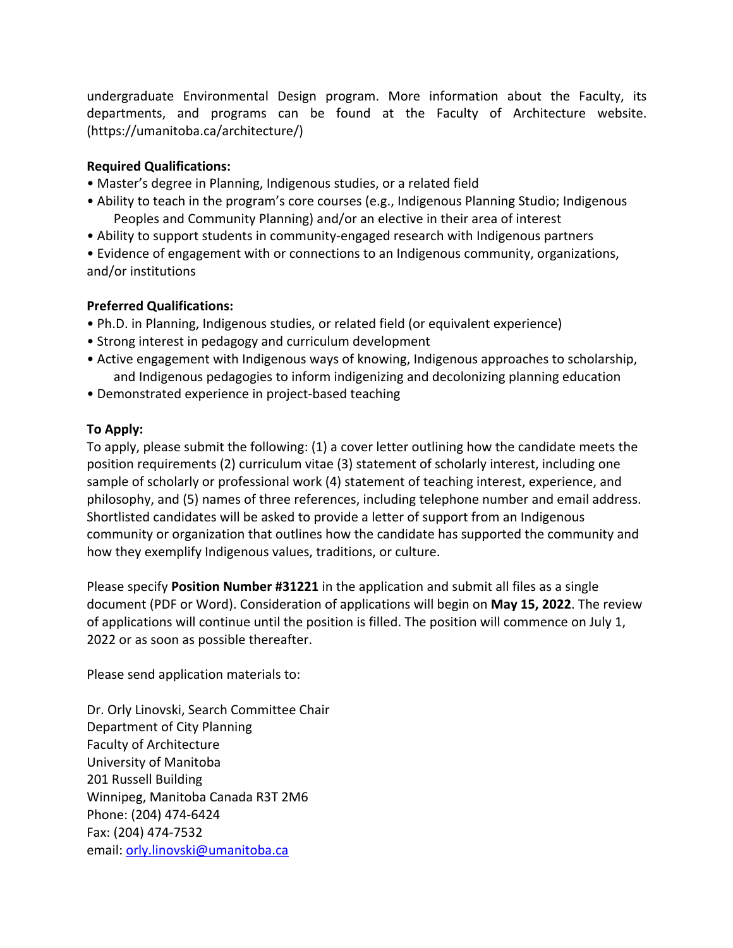undergraduate Environmental Design program. More information about the Faculty, its departments, and programs can be found at the Faculty of Architecture website. (https://umanitoba.ca/architecture/)

## **Required Qualifications:**

- Master's degree in Planning, Indigenous studies, or a related field
- Ability to teach in the program's core courses (e.g., Indigenous Planning Studio; Indigenous Peoples and Community Planning) and/or an elective in their area of interest
- Ability to support students in community-engaged research with Indigenous partners

• Evidence of engagement with or connections to an Indigenous community, organizations, and/or institutions

## **Preferred Qualifications:**

- Ph.D. in Planning, Indigenous studies, or related field (or equivalent experience)
- Strong interest in pedagogy and curriculum development
- Active engagement with Indigenous ways of knowing, Indigenous approaches to scholarship, and Indigenous pedagogies to inform indigenizing and decolonizing planning education
- Demonstrated experience in project-based teaching

## **To Apply:**

To apply, please submit the following: (1) a cover letter outlining how the candidate meets the position requirements (2) curriculum vitae (3) statement of scholarly interest, including one sample of scholarly or professional work (4) statement of teaching interest, experience, and philosophy, and (5) names of three references, including telephone number and email address. Shortlisted candidates will be asked to provide a letter of support from an Indigenous community or organization that outlines how the candidate has supported the community and how they exemplify Indigenous values, traditions, or culture.

Please specify **Position Number #31221** in the application and submit all files as a single document (PDF or Word). Consideration of applications will begin on **May 15, 2022**. The review of applications will continue until the position is filled. The position will commence on July 1, 2022 or as soon as possible thereafter.

Please send application materials to:

Dr. Orly Linovski, Search Committee Chair Department of City Planning Faculty of Architecture University of Manitoba 201 Russell Building Winnipeg, Manitoba Canada R3T 2M6 Phone: (204) 474-6424 Fax: (204) 474-7532 email: orly.linovski@umanitoba.ca